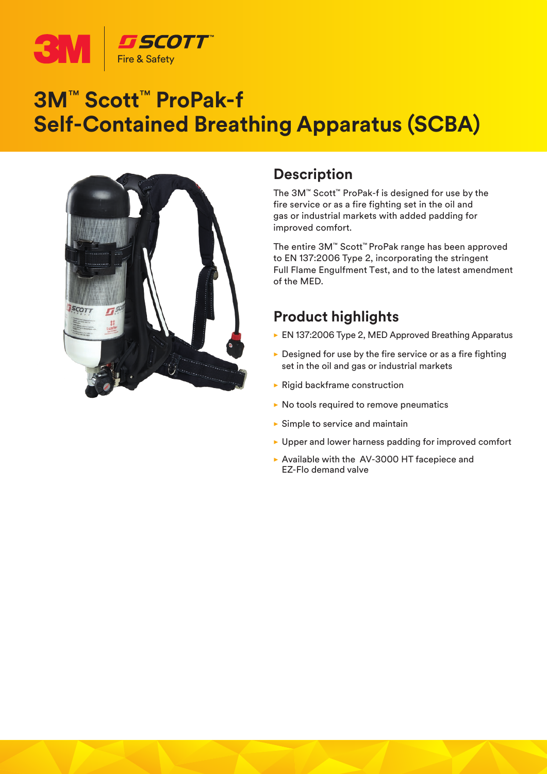

# **3M**™ **Scott**™ **ProPak-f Self-Contained Breathing Apparatus (SCBA)**



### **Description**

The 3M™ Scott™ ProPak-f is designed for use by the fire service or as a fire fighting set in the oil and gas or industrial markets with added padding for improved comfort.

The entire 3M™ Scott™ ProPak range has been approved to EN 137:2006 Type 2, incorporating the stringent Full Flame Engulfment Test, and to the latest amendment of the MED.

## **Product highlights**

- ► EN 137:2006 Type 2, MED Approved Breathing Apparatus
- $\triangleright$  Designed for use by the fire service or as a fire fighting set in the oil and gas or industrial markets
- $\blacktriangleright$  Rigid backframe construction
- $\triangleright$  No tools required to remove pneumatics
- $\blacktriangleright$  Simple to service and maintain
- $\blacktriangleright$  Upper and lower harness padding for improved comfort
- $\triangleright$  Available with the AV-3000 HT facepiece and EZ-Flo demand valve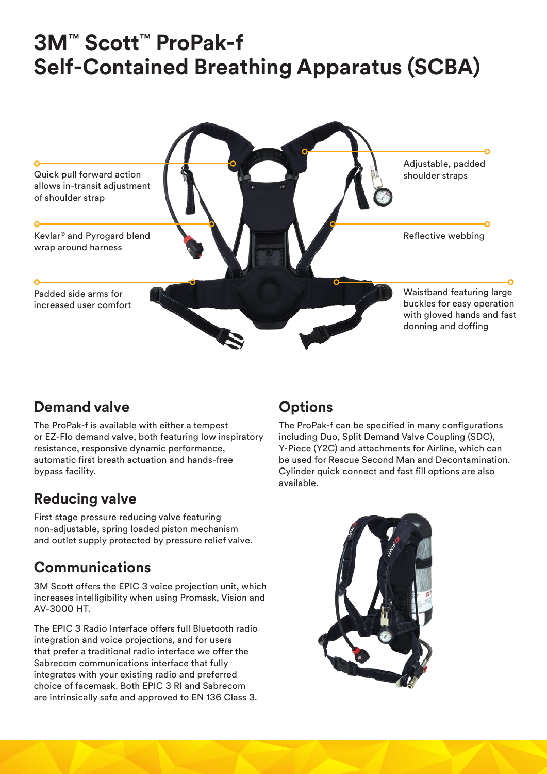# **3M**™ **Scott**™ **ProPak-f Self-Contained Breathing Apparatus (SCBA)**



### **Demand valve**

The ProPak-f is available with either a tempest or EZ-Flo demand valve, both featuring low inspiratory resistance, responsive dynamic performance, automatic first breath actuation and hands‑free bypass facility.

## **Reducing valve**

First stage pressure reducing valve featuring non-adjustable, spring loaded piston mechanism and outlet supply protected by pressure relief valve.

## **Communications**

3M Scott offers the EPIC 3 voice projection unit, which increases intelligibility when using Promask, Vision and AV-3000 HT.

The EPIC 3 Radio Interface offers full Bluetooth radio integration and voice projections, and for users that prefer a traditional radio interface we offer the Sabrecom communications interface that fully integrates with your existing radio and preferred choice of facemask. Both EPIC 3 RI and Sabrecom are intrinsically safe and approved to EN 136 Class 3.

# **Options**

The ProPak-f can be specified in many configurations including Duo, Split Demand Valve Coupling (SDC), Y-Piece (Y2C) and attachments for Airline, which can be used for Rescue Second Man and Decontamination. Cylinder quick connect and fast fill options are also available.